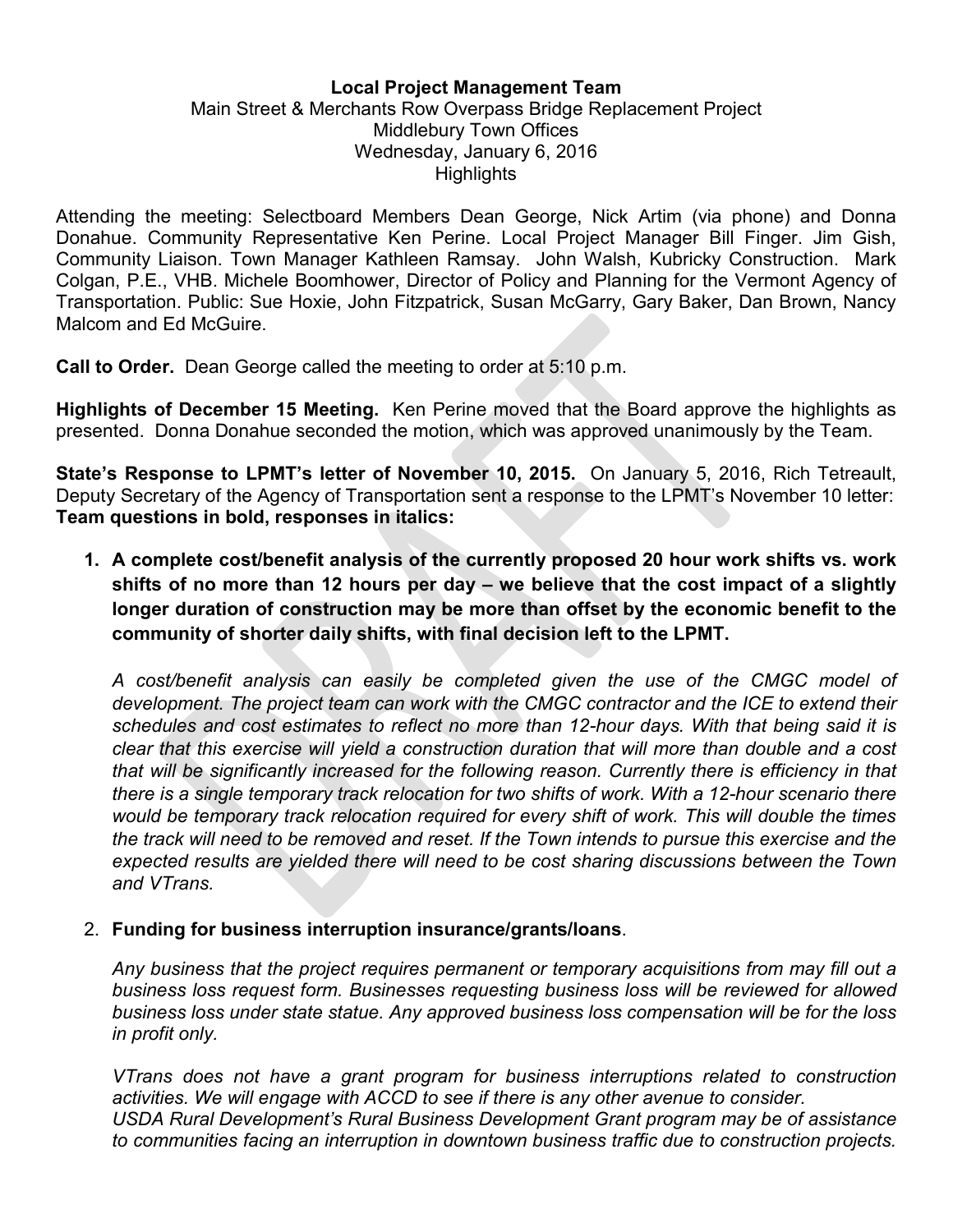#### Local Project Management Team

#### Main Street & Merchants Row Overpass Bridge Replacement Project Middlebury Town Offices Wednesday, January 6, 2016 **Highlights**

Attending the meeting: Selectboard Members Dean George, Nick Artim (via phone) and Donna Donahue. Community Representative Ken Perine. Local Project Manager Bill Finger. Jim Gish, Community Liaison. Town Manager Kathleen Ramsay. John Walsh, Kubricky Construction. Mark Colgan, P.E., VHB. Michele Boomhower, Director of Policy and Planning for the Vermont Agency of Transportation. Public: Sue Hoxie, John Fitzpatrick, Susan McGarry, Gary Baker, Dan Brown, Nancy Malcom and Ed McGuire.

Call to Order. Dean George called the meeting to order at 5:10 p.m.

Highlights of December 15 Meeting. Ken Perine moved that the Board approve the highlights as presented. Donna Donahue seconded the motion, which was approved unanimously by the Team.

State's Response to LPMT's letter of November 10, 2015. On January 5, 2016, Rich Tetreault, Deputy Secretary of the Agency of Transportation sent a response to the LPMT's November 10 letter: Team questions in bold, responses in italics:

1. A complete cost/benefit analysis of the currently proposed 20 hour work shifts vs. work shifts of no more than 12 hours per day – we believe that the cost impact of a slightly longer duration of construction may be more than offset by the economic benefit to the community of shorter daily shifts, with final decision left to the LPMT.

*A cost/benefit analysis can easily be completed given the use of the CMGC model of development. The project team can work with the CMGC contractor and the ICE to extend their schedules and cost estimates to reflect no more than 12-hour days. With that being said it is clear that this exercise will yield a construction duration that will more than double and a cost that will be significantly increased for the following reason. Currently there is efficiency in that there is a single temporary track relocation for two shifts of work. With a 12-hour scenario there would be temporary track relocation required for every shift of work. This will double the times the track will need to be removed and reset. If the Town intends to pursue this exercise and the expected results are yielded there will need to be cost sharing discussions between the Town and VTrans.*

#### 2. Funding for business interruption insurance/grants/loans.

*Any business that the project requires permanent or temporary acquisitions from may fill out a business loss request form. Businesses requesting business loss will be reviewed for allowed business loss under state statue. Any approved business loss compensation will be for the loss in profit only.* 

*VTrans does not have a grant program for business interruptions related to construction activities. We will engage with ACCD to see if there is any other avenue to consider. USDA Rural Development's Rural Business Development Grant program may be of assistance to communities facing an interruption in downtown business traffic due to construction projects.*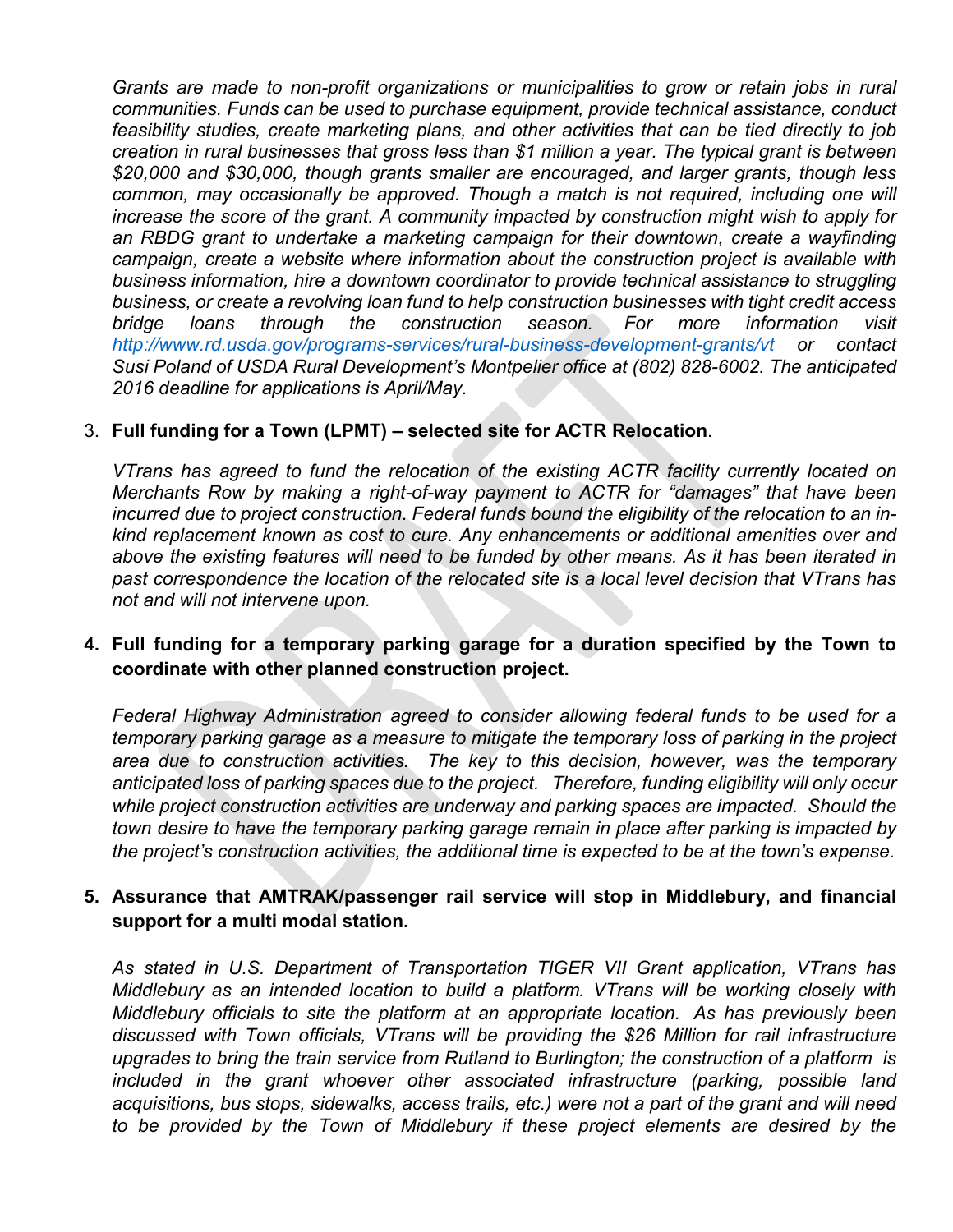*Grants are made to non-profit organizations or municipalities to grow or retain jobs in rural communities. Funds can be used to purchase equipment, provide technical assistance, conduct feasibility studies, create marketing plans, and other activities that can be tied directly to job creation in rural businesses that gross less than \$1 million a year. The typical grant is between \$20,000 and \$30,000, though grants smaller are encouraged, and larger grants, though less common, may occasionally be approved. Though a match is not required, including one will increase the score of the grant. A community impacted by construction might wish to apply for an RBDG grant to undertake a marketing campaign for their downtown, create a wayfinding campaign, create a website where information about the construction project is available with business information, hire a downtown coordinator to provide technical assistance to struggling business, or create a revolving loan fund to help construction businesses with tight credit access bridge loans through the construction season. For more information visit http://www.rd.usda.gov/programs-services/rural-business-development-grants/vt or contact Susi Poland of USDA Rural Development's Montpelier office at (802) 828-6002. The anticipated 2016 deadline for applications is April/May.*

#### 3. Full funding for a Town (LPMT) – selected site for ACTR Relocation.

*VTrans has agreed to fund the relocation of the existing ACTR facility currently located on Merchants Row by making a right-of-way payment to ACTR for "damages" that have been incurred due to project construction. Federal funds bound the eligibility of the relocation to an inkind replacement known as cost to cure. Any enhancements or additional amenities over and above the existing features will need to be funded by other means. As it has been iterated in past correspondence the location of the relocated site is a local level decision that VTrans has not and will not intervene upon.* 

## 4. Full funding for a temporary parking garage for a duration specified by the Town to coordinate with other planned construction project.

*Federal Highway Administration agreed to consider allowing federal funds to be used for a temporary parking garage as a measure to mitigate the temporary loss of parking in the project area due to construction activities. The key to this decision, however, was the temporary anticipated loss of parking spaces due to the project. Therefore, funding eligibility will only occur while project construction activities are underway and parking spaces are impacted. Should the town desire to have the temporary parking garage remain in place after parking is impacted by the project's construction activities, the additional time is expected to be at the town's expense.*

### 5. Assurance that AMTRAK/passenger rail service will stop in Middlebury, and financial support for a multi modal station.

*As stated in U.S. Department of Transportation TIGER VII Grant application, VTrans has Middlebury as an intended location to build a platform. VTrans will be working closely with Middlebury officials to site the platform at an appropriate location. As has previously been discussed with Town officials, VTrans will be providing the \$26 Million for rail infrastructure upgrades to bring the train service from Rutland to Burlington; the construction of a platform is included in the grant whoever other associated infrastructure (parking, possible land acquisitions, bus stops, sidewalks, access trails, etc.) were not a part of the grant and will need to be provided by the Town of Middlebury if these project elements are desired by the*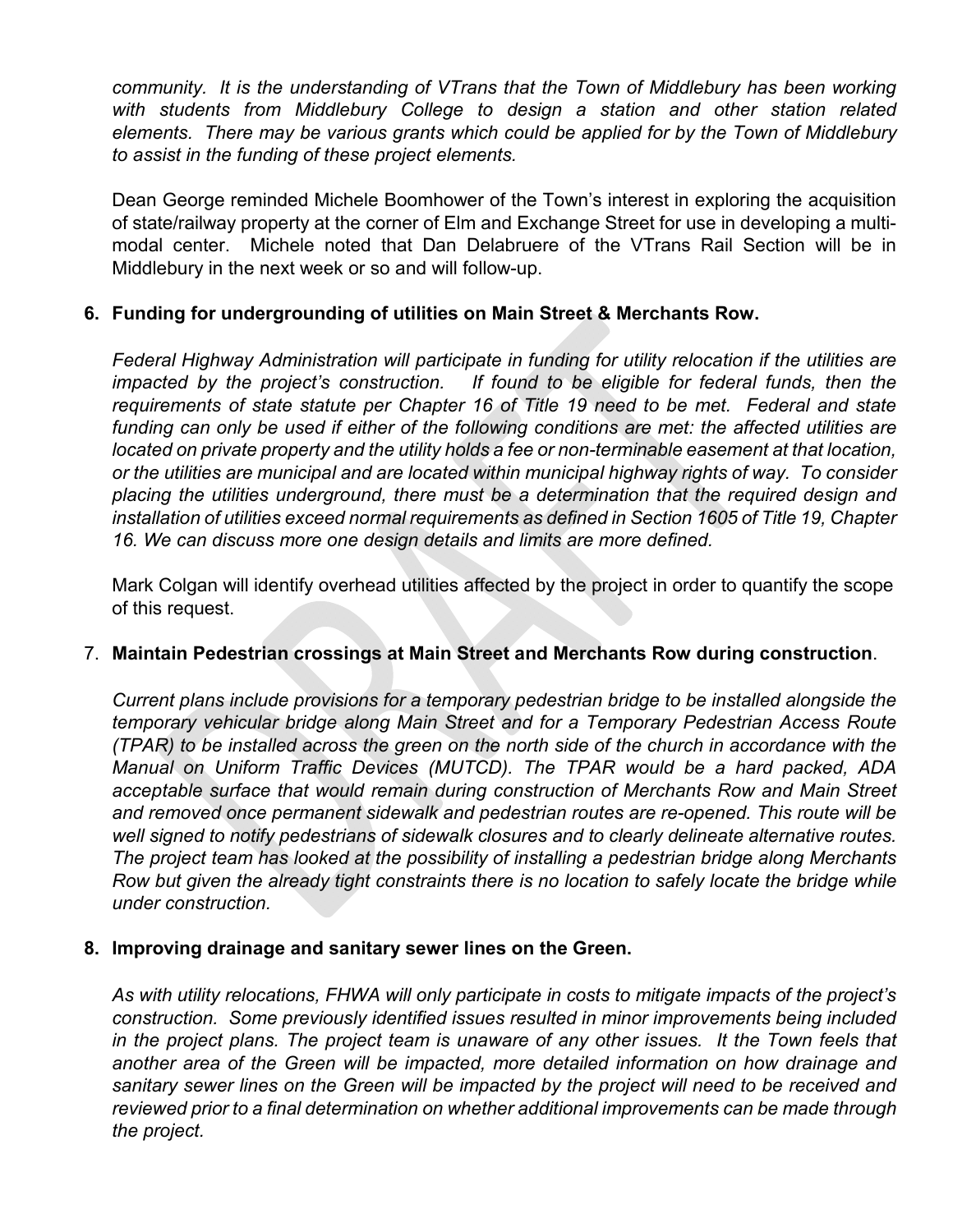*community. It is the understanding of VTrans that the Town of Middlebury has been working with students from Middlebury College to design a station and other station related elements. There may be various grants which could be applied for by the Town of Middlebury to assist in the funding of these project elements.* 

Dean George reminded Michele Boomhower of the Town's interest in exploring the acquisition of state/railway property at the corner of Elm and Exchange Street for use in developing a multimodal center. Michele noted that Dan Delabruere of the VTrans Rail Section will be in Middlebury in the next week or so and will follow-up.

## 6. Funding for undergrounding of utilities on Main Street & Merchants Row.

*Federal Highway Administration will participate in funding for utility relocation if the utilities are impacted by the project's construction.* If found to be eligible for federal funds, then the *requirements of state statute per Chapter 16 of Title 19 need to be met. Federal and state funding can only be used if either of the following conditions are met: the affected utilities are located on private property and the utility holds a fee or non-terminable easement at that location, or the utilities are municipal and are located within municipal highway rights of way. To consider placing the utilities underground, there must be a determination that the required design and installation of utilities exceed normal requirements as defined in Section 1605 of Title 19, Chapter 16. We can discuss more one design details and limits are more defined.*

Mark Colgan will identify overhead utilities affected by the project in order to quantify the scope of this request.

#### 7. Maintain Pedestrian crossings at Main Street and Merchants Row during construction.

*Current plans include provisions for a temporary pedestrian bridge to be installed alongside the temporary vehicular bridge along Main Street and for a Temporary Pedestrian Access Route (TPAR) to be installed across the green on the north side of the church in accordance with the Manual on Uniform Traffic Devices (MUTCD). The TPAR would be a hard packed, ADA acceptable surface that would remain during construction of Merchants Row and Main Street and removed once permanent sidewalk and pedestrian routes are re-opened. This route will be well signed to notify pedestrians of sidewalk closures and to clearly delineate alternative routes. The project team has looked at the possibility of installing a pedestrian bridge along Merchants Row but given the already tight constraints there is no location to safely locate the bridge while under construction.* 

#### 8. Improving drainage and sanitary sewer lines on the Green.

*As with utility relocations, FHWA will only participate in costs to mitigate impacts of the project's construction. Some previously identified issues resulted in minor improvements being included*  in the project plans. The project team is unaware of any other issues. It the Town feels that *another area of the Green will be impacted, more detailed information on how drainage and sanitary sewer lines on the Green will be impacted by the project will need to be received and reviewed prior to a final determination on whether additional improvements can be made through the project.*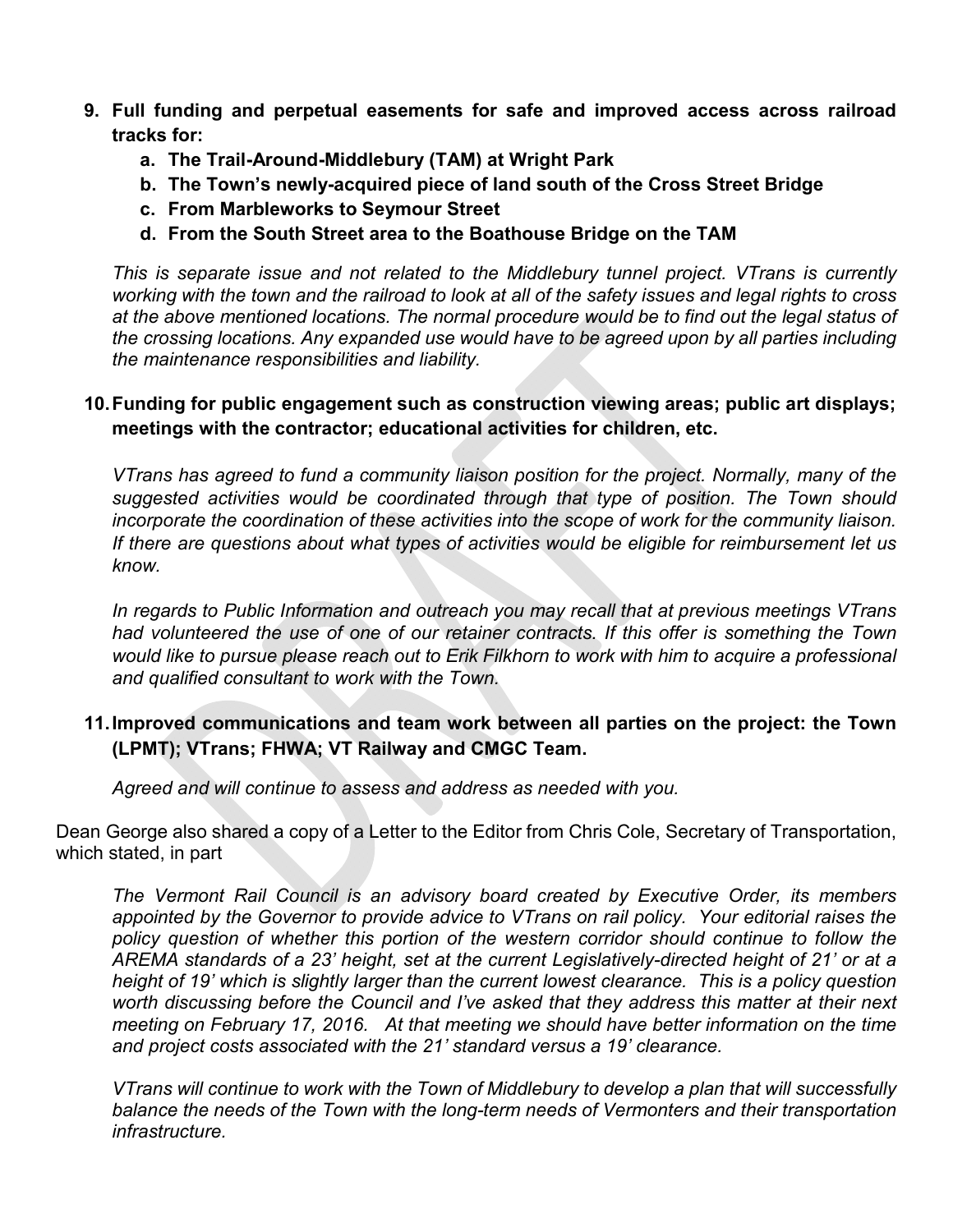- 9. Full funding and perpetual easements for safe and improved access across railroad tracks for:
	- a. The Trail-Around-Middlebury (TAM) at Wright Park
	- b. The Town's newly-acquired piece of land south of the Cross Street Bridge
	- c. From Marbleworks to Seymour Street
	- d. From the South Street area to the Boathouse Bridge on the TAM

*This is separate issue and not related to the Middlebury tunnel project. VTrans is currently working with the town and the railroad to look at all of the safety issues and legal rights to cross at the above mentioned locations. The normal procedure would be to find out the legal status of the crossing locations. Any expanded use would have to be agreed upon by all parties including the maintenance responsibilities and liability.* 

## 10.Funding for public engagement such as construction viewing areas; public art displays; meetings with the contractor; educational activities for children, etc.

*VTrans has agreed to fund a community liaison position for the project. Normally, many of the suggested activities would be coordinated through that type of position. The Town should incorporate the coordination of these activities into the scope of work for the community liaison. If there are questions about what types of activities would be eligible for reimbursement let us know.* 

*In regards to Public Information and outreach you may recall that at previous meetings VTrans had volunteered the use of one of our retainer contracts. If this offer is something the Town would like to pursue please reach out to Erik Filkhorn to work with him to acquire a professional and qualified consultant to work with the Town.*

## 11.Improved communications and team work between all parties on the project: the Town (LPMT); VTrans; FHWA; VT Railway and CMGC Team.

*Agreed and will continue to assess and address as needed with you.*

Dean George also shared a copy of a Letter to the Editor from Chris Cole, Secretary of Transportation, which stated, in part

*The Vermont Rail Council is an advisory board created by Executive Order, its members appointed by the Governor to provide advice to VTrans on rail policy. Your editorial raises the policy question of whether this portion of the western corridor should continue to follow the AREMA standards of a 23' height, set at the current Legislatively-directed height of 21' or at a height of 19' which is slightly larger than the current lowest clearance. This is a policy question worth discussing before the Council and I've asked that they address this matter at their next meeting on February 17, 2016. At that meeting we should have better information on the time and project costs associated with the 21' standard versus a 19' clearance.*

*VTrans will continue to work with the Town of Middlebury to develop a plan that will successfully balance the needs of the Town with the long-term needs of Vermonters and their transportation infrastructure.*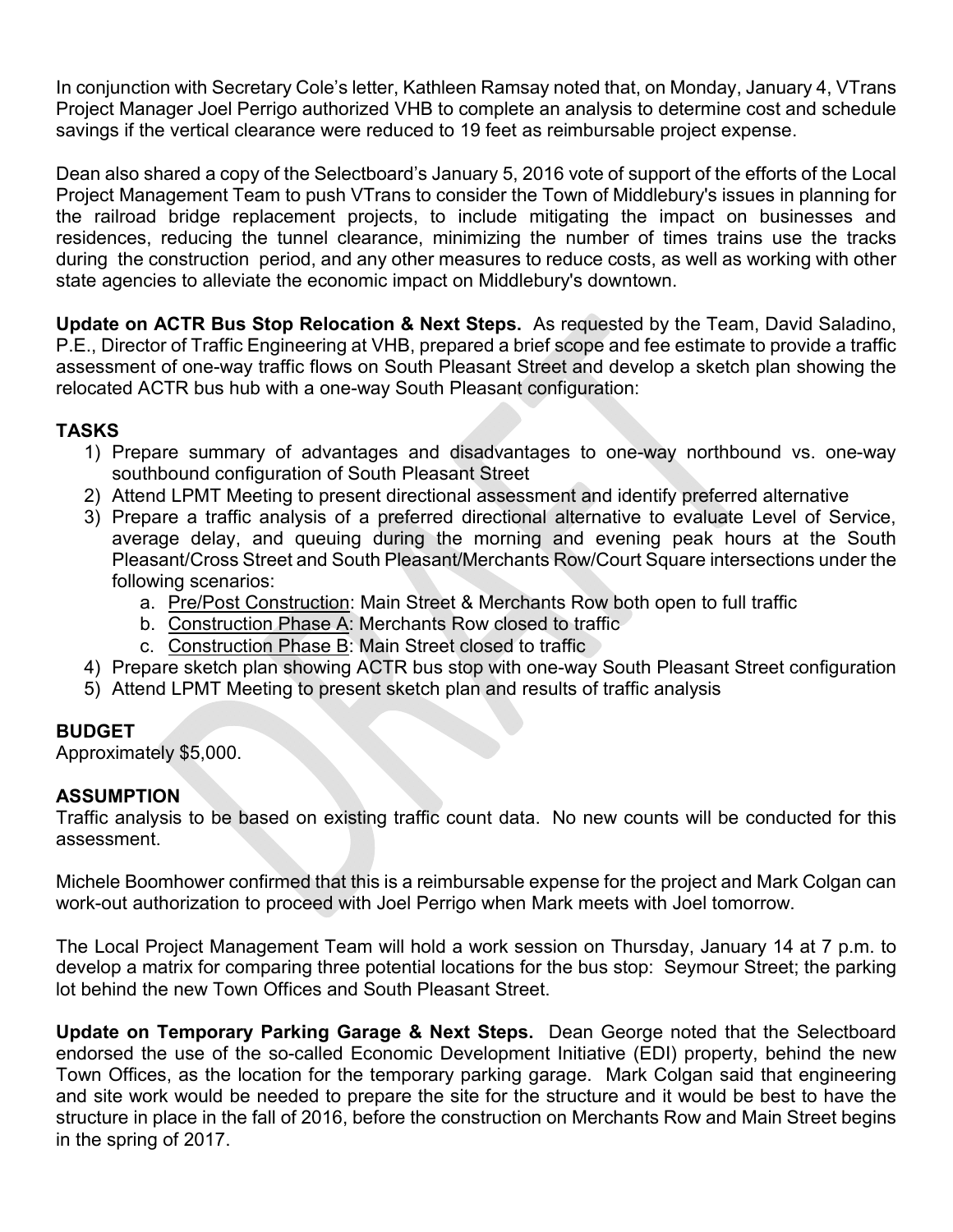In conjunction with Secretary Cole's letter, Kathleen Ramsay noted that, on Monday, January 4, VTrans Project Manager Joel Perrigo authorized VHB to complete an analysis to determine cost and schedule savings if the vertical clearance were reduced to 19 feet as reimbursable project expense.

Dean also shared a copy of the Selectboard's January 5, 2016 vote of support of the efforts of the Local Project Management Team to push VTrans to consider the Town of Middlebury's issues in planning for the railroad bridge replacement projects, to include mitigating the impact on businesses and residences, reducing the tunnel clearance, minimizing the number of times trains use the tracks during the construction period, and any other measures to reduce costs, as well as working with other state agencies to alleviate the economic impact on Middlebury's downtown.

Update on ACTR Bus Stop Relocation & Next Steps. As requested by the Team, David Saladino, P.E., Director of Traffic Engineering at VHB, prepared a brief scope and fee estimate to provide a traffic assessment of one-way traffic flows on South Pleasant Street and develop a sketch plan showing the relocated ACTR bus hub with a one-way South Pleasant configuration:

## TASKS

- 1) Prepare summary of advantages and disadvantages to one-way northbound vs. one-way southbound configuration of South Pleasant Street
- 2) Attend LPMT Meeting to present directional assessment and identify preferred alternative
- 3) Prepare a traffic analysis of a preferred directional alternative to evaluate Level of Service, average delay, and queuing during the morning and evening peak hours at the South Pleasant/Cross Street and South Pleasant/Merchants Row/Court Square intersections under the following scenarios:
	- a. Pre/Post Construction: Main Street & Merchants Row both open to full traffic
	- b. Construction Phase A: Merchants Row closed to traffic
	- c. Construction Phase B: Main Street closed to traffic
- 4) Prepare sketch plan showing ACTR bus stop with one-way South Pleasant Street configuration
- 5) Attend LPMT Meeting to present sketch plan and results of traffic analysis

# BUDGET

Approximately \$5,000.

## ASSUMPTION

Traffic analysis to be based on existing traffic count data. No new counts will be conducted for this assessment.

Michele Boomhower confirmed that this is a reimbursable expense for the project and Mark Colgan can work-out authorization to proceed with Joel Perrigo when Mark meets with Joel tomorrow.

The Local Project Management Team will hold a work session on Thursday, January 14 at 7 p.m. to develop a matrix for comparing three potential locations for the bus stop: Seymour Street; the parking lot behind the new Town Offices and South Pleasant Street.

Update on Temporary Parking Garage & Next Steps. Dean George noted that the Selectboard endorsed the use of the so-called Economic Development Initiative (EDI) property, behind the new Town Offices, as the location for the temporary parking garage. Mark Colgan said that engineering and site work would be needed to prepare the site for the structure and it would be best to have the structure in place in the fall of 2016, before the construction on Merchants Row and Main Street begins in the spring of 2017.